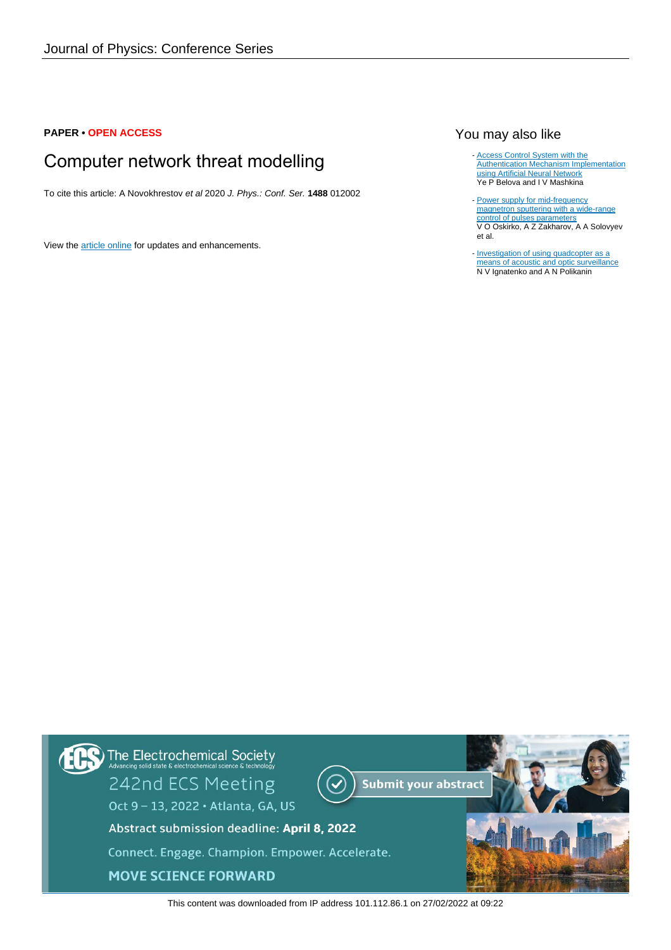## **PAPER • OPEN ACCESS**

# Computer network threat modelling

To cite this article: A Novokhrestov et al 2020 J. Phys.: Conf. Ser. **1488** 012002

View the [article online](https://doi.org/10.1088/1742-6596/1488/1/012002) for updates and enhancements.

# You may also like

- [Access Control System with the](/article/10.1088/1742-6596/1488/1/012025) [Authentication Mechanism Implementation](/article/10.1088/1742-6596/1488/1/012025) [using Artificial Neural Network](/article/10.1088/1742-6596/1488/1/012025) Ye P Belova and I V Mashkina
- [Power supply for mid-frequency](/article/10.1088/1742-6596/1488/1/012003) [magnetron sputtering with a wide-range](/article/10.1088/1742-6596/1488/1/012003) [control of pulses parameters](/article/10.1088/1742-6596/1488/1/012003) V O Oskirko, A Z Zakharov, A A Solovyev et al.
- [Investigation of using quadcopter as a](/article/10.1088/1742-6596/1488/1/012020) [means of acoustic and optic surveillance](/article/10.1088/1742-6596/1488/1/012020) N V Ignatenko and A N Polikanin



This content was downloaded from IP address 101.112.86.1 on 27/02/2022 at 09:22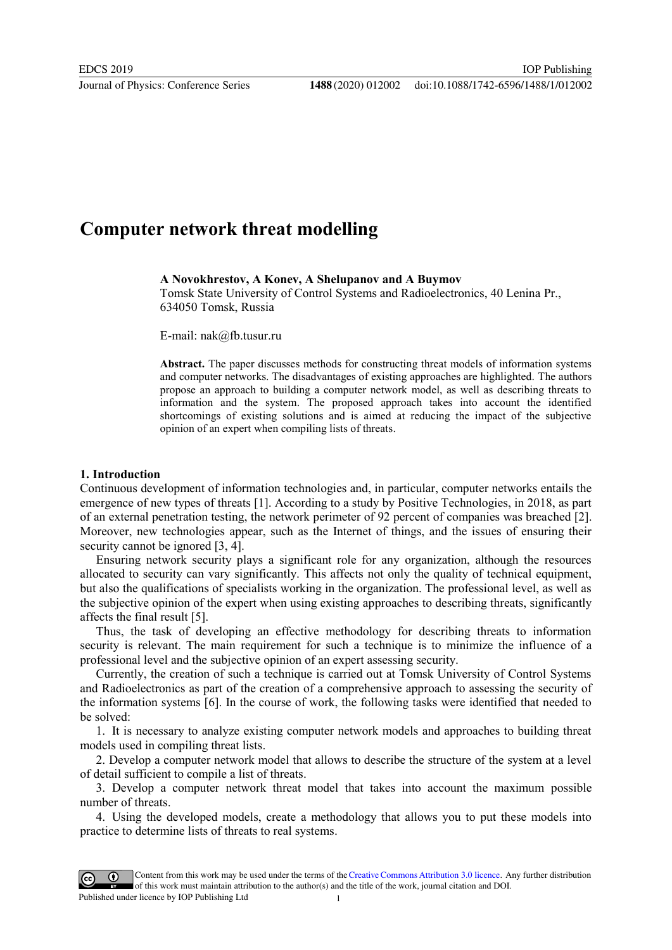# **Computer network threat modelling**

**A Novokhrestov, A Konev, A Shelupanov and A Buymov**

Tomsk State University of Control Systems and Radioelectronics, 40 Lenina Pr., 634050 Tomsk, Russia

E-mail: nak@fb.tusur.ru

**Abstract.** The paper discusses methods for constructing threat models of information systems and computer networks. The disadvantages of existing approaches are highlighted. The authors propose an approach to building a computer network model, as well as describing threats to information and the system. The proposed approach takes into account the identified shortcomings of existing solutions and is aimed at reducing the impact of the subjective opinion of an expert when compiling lists of threats.

#### **1. Introduction**

Continuous development of information technologies and, in particular, computer networks entails the emergence of new types of threats [1]. According to a study by Positive Technologies, in 2018, as part of an external penetration testing, the network perimeter of 92 percent of companies was breached [2]. Moreover, new technologies appear, such as the Internet of things, and the issues of ensuring their security cannot be ignored [3, 4].

Ensuring network security plays a significant role for any organization, although the resources allocated to security can vary significantly. This affects not only the quality of technical equipment, but also the qualifications of specialists working in the organization. The professional level, as well as the subjective opinion of the expert when using existing approaches to describing threats, significantly affects the final result [5].

Thus, the task of developing an effective methodology for describing threats to information security is relevant. The main requirement for such a technique is to minimize the influence of a professional level and the subjective opinion of an expert assessing security.

Currently, the creation of such a technique is carried out at Tomsk University of Control Systems and Radioelectronics as part of the creation of a comprehensive approach to assessing the security of the information systems [6]. In the course of work, the following tasks were identified that needed to be solved:

1. It is necessary to analyze existing computer network models and approaches to building threat models used in compiling threat lists.

2. Develop a computer network model that allows to describe the structure of the system at a level of detail sufficient to compile a list of threats.

3. Develop a computer network threat model that takes into account the maximum possible number of threats.

4. Using the developed models, create a methodology that allows you to put these models into practice to determine lists of threats to real systems.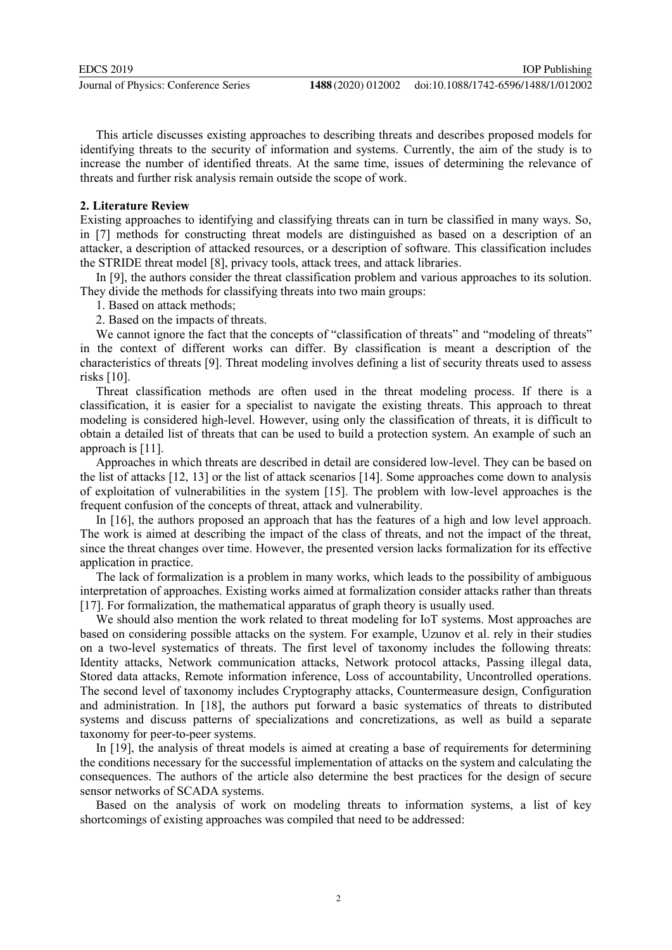This article discusses existing approaches to describing threats and describes proposed models for identifying threats to the security of information and systems. Currently, the aim of the study is to increase the number of identified threats. At the same time, issues of determining the relevance of threats and further risk analysis remain outside the scope of work.

#### **2. Literature Review**

Existing approaches to identifying and classifying threats can in turn be classified in many ways. So, in [7] methods for constructing threat models are distinguished as based on a description of an attacker, a description of attacked resources, or a description of software. This classification includes the STRIDE threat model [8], privacy tools, attack trees, and attack libraries.

In [9], the authors consider the threat classification problem and various approaches to its solution. They divide the methods for classifying threats into two main groups:

1. Based on attack methods;

2. Based on the impacts of threats.

We cannot ignore the fact that the concepts of "classification of threats" and "modeling of threats" in the context of different works can differ. By classification is meant a description of the characteristics of threats [9]. Threat modeling involves defining a list of security threats used to assess risks [10].

Threat classification methods are often used in the threat modeling process. If there is a classification, it is easier for a specialist to navigate the existing threats. This approach to threat modeling is considered high-level. However, using only the classification of threats, it is difficult to obtain a detailed list of threats that can be used to build a protection system. An example of such an approach is [11].

Approaches in which threats are described in detail are considered low-level. They can be based on the list of attacks [12, 13] or the list of attack scenarios [14]. Some approaches come down to analysis of exploitation of vulnerabilities in the system [15]. The problem with low-level approaches is the frequent confusion of the concepts of threat, attack and vulnerability.

In [16], the authors proposed an approach that has the features of a high and low level approach. The work is aimed at describing the impact of the class of threats, and not the impact of the threat, since the threat changes over time. However, the presented version lacks formalization for its effective application in practice.

The lack of formalization is a problem in many works, which leads to the possibility of ambiguous interpretation of approaches. Existing works aimed at formalization consider attacks rather than threats [17]. For formalization, the mathematical apparatus of graph theory is usually used.

We should also mention the work related to threat modeling for IoT systems. Most approaches are based on considering possible attacks on the system. For example, Uzunov et al. rely in their studies on a two-level systematics of threats. The first level of taxonomy includes the following threats: Identity attacks, Network communication attacks, Network protocol attacks, Passing illegal data, Stored data attacks, Remote information inference, Loss of accountability, Uncontrolled operations. The second level of taxonomy includes Cryptography attacks, Countermeasure design, Configuration and administration. In [18], the authors put forward a basic systematics of threats to distributed systems and discuss patterns of specializations and concretizations, as well as build a separate taxonomy for peer-to-peer systems.

In [19], the analysis of threat models is aimed at creating a base of requirements for determining the conditions necessary for the successful implementation of attacks on the system and calculating the consequences. The authors of the article also determine the best practices for the design of secure sensor networks of SCADA systems.

Based on the analysis of work on modeling threats to information systems, a list of key shortcomings of existing approaches was compiled that need to be addressed: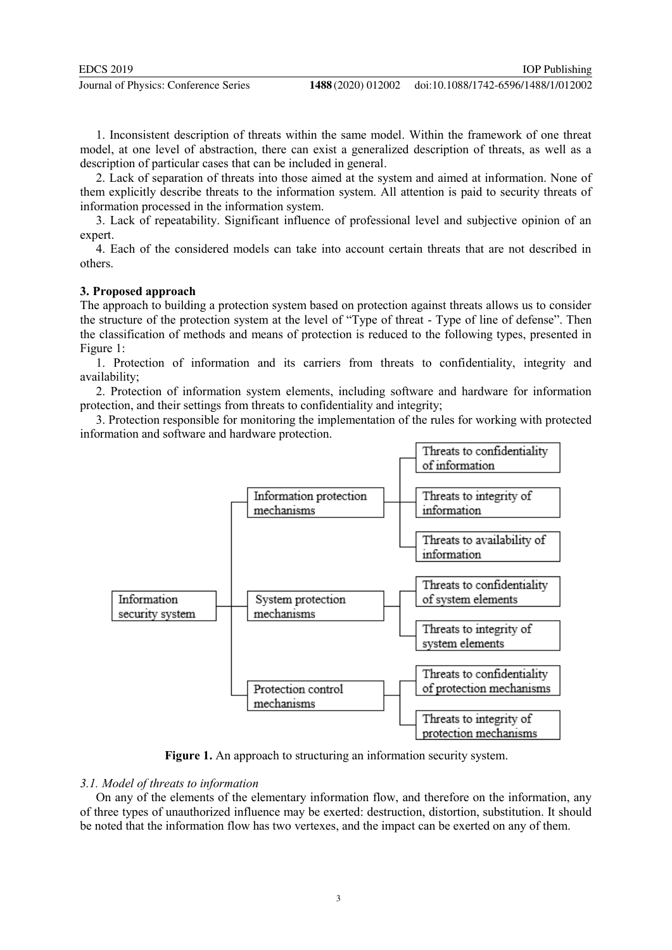1. Inconsistent description of threats within the same model. Within the framework of one threat model, at one level of abstraction, there can exist a generalized description of threats, as well as a description of particular cases that can be included in general.

2. Lack of separation of threats into those aimed at the system and aimed at information. None of them explicitly describe threats to the information system. All attention is paid to security threats of information processed in the information system.

3. Lack of repeatability. Significant influence of professional level and subjective opinion of an expert.

4. Each of the considered models can take into account certain threats that are not described in others.

# **3. Proposed approach**

The approach to building a protection system based on protection against threats allows us to consider the structure of the protection system at the level of "Type of threat - Type of line of defense". Then the classification of methods and means of protection is reduced to the following types, presented in Figure 1:

1. Protection of information and its carriers from threats to confidentiality, integrity and availability;

2. Protection of information system elements, including software and hardware for information protection, and their settings from threats to confidentiality and integrity;

3. Protection responsible for monitoring the implementation of the rules for working with protected information and software and hardware protection.



**Figure 1.** An approach to structuring an information security system.

#### *3.1. Model of threats to information*

On any of the elements of the elementary information flow, and therefore on the information, any of three types of unauthorized influence may be exerted: destruction, distortion, substitution. It should be noted that the information flow has two vertexes, and the impact can be exerted on any of them.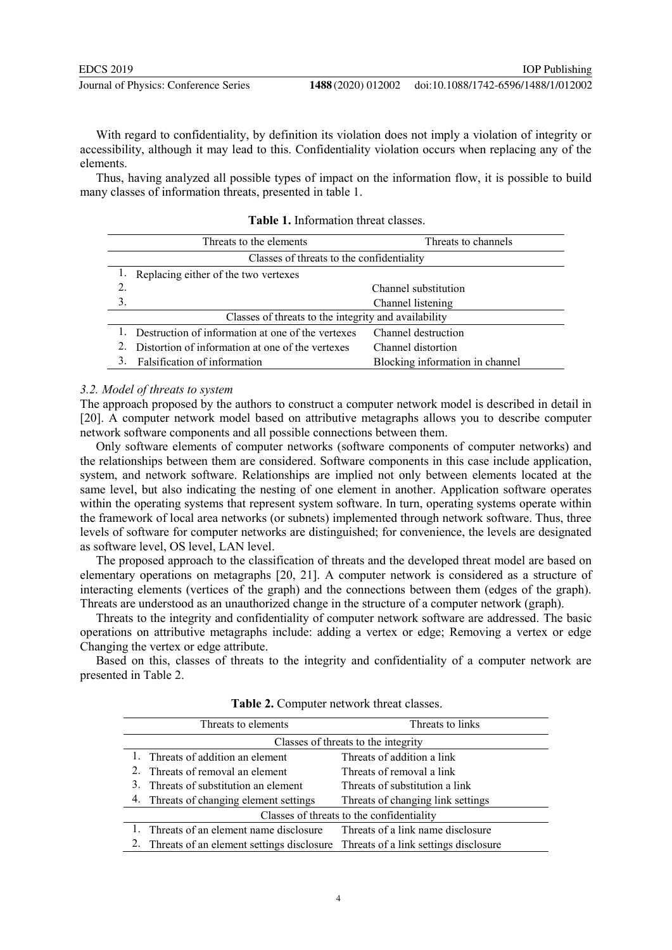With regard to confidentiality, by definition its violation does not imply a violation of integrity or accessibility, although it may lead to this. Confidentiality violation occurs when replacing any of the elements.

Thus, having analyzed all possible types of impact on the information flow, it is possible to build many classes of information threats, presented in table 1.

|                                                      | Threats to the elements                           | Threats to channels             |
|------------------------------------------------------|---------------------------------------------------|---------------------------------|
| Classes of threats to the confidentiality            |                                                   |                                 |
|                                                      | Replacing either of the two vertexes              |                                 |
| 2.                                                   |                                                   | Channel substitution            |
| 3.                                                   |                                                   | Channel listening               |
| Classes of threats to the integrity and availability |                                                   |                                 |
|                                                      | Destruction of information at one of the vertexes | Channel destruction             |
|                                                      | Distortion of information at one of the vertexes  | Channel distortion              |
| 3.                                                   | Falsification of information                      | Blocking information in channel |

**Table 1.** Information threat classes.

#### *3.2. Model of threats to system*

The approach proposed by the authors to construct a computer network model is described in detail in [20]. A computer network model based on attributive metagraphs allows you to describe computer network software components and all possible connections between them.

Only software elements of computer networks (software components of computer networks) and the relationships between them are considered. Software components in this case include application, system, and network software. Relationships are implied not only between elements located at the same level, but also indicating the nesting of one element in another. Application software operates within the operating systems that represent system software. In turn, operating systems operate within the framework of local area networks (or subnets) implemented through network software. Thus, three levels of software for computer networks are distinguished; for convenience, the levels are designated as software level, OS level, LAN level.

The proposed approach to the classification of threats and the developed threat model are based on elementary operations on metagraphs [20, 21]. A computer network is considered as a structure of interacting elements (vertices of the graph) and the connections between them (edges of the graph). Threats are understood as an unauthorized change in the structure of a computer network (graph).

Threats to the integrity and confidentiality of computer network software are addressed. The basic operations on attributive metagraphs include: adding a vertex or edge; Removing a vertex or edge Changing the vertex or edge attribute.

Based on this, classes of threats to the integrity and confidentiality of a computer network are presented in Table 2.

|                                           | Threats to elements                                                             | Threats to links                  |
|-------------------------------------------|---------------------------------------------------------------------------------|-----------------------------------|
| Classes of threats to the integrity       |                                                                                 |                                   |
|                                           | 1. Threats of addition an element                                               | Threats of addition a link        |
|                                           | Threats of removal an element                                                   | Threats of removal a link         |
|                                           | Threats of substitution an element                                              | Threats of substitution a link    |
|                                           | 4. Threats of changing element settings                                         | Threats of changing link settings |
| Classes of threats to the confidentiality |                                                                                 |                                   |
|                                           | Threats of an element name disclosure                                           | Threats of a link name disclosure |
| 2.                                        | Threats of an element settings disclosure Threats of a link settings disclosure |                                   |

**Table 2.** Computer network threat classes.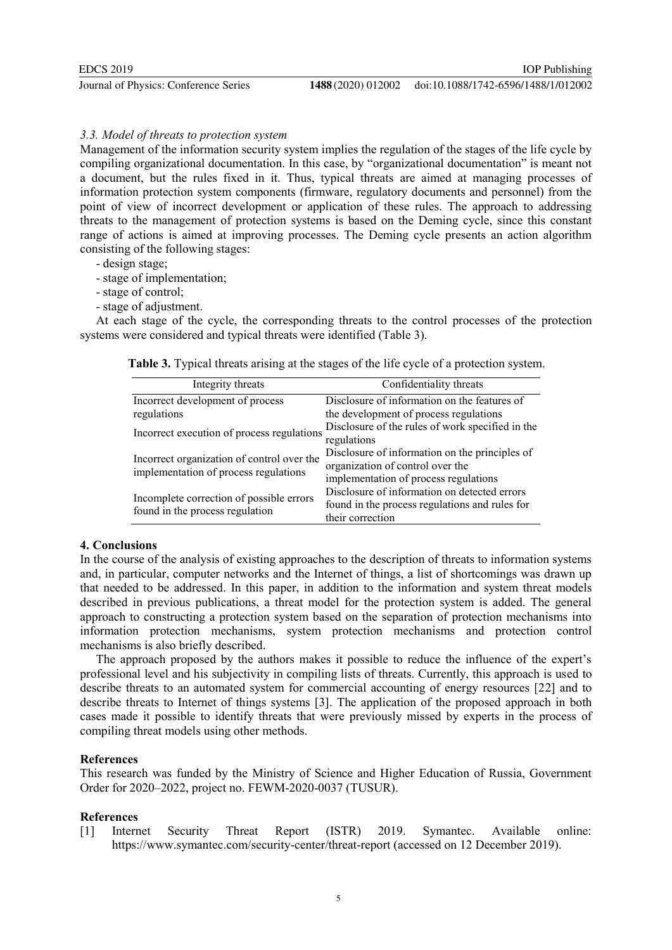## *3.3. Model of threats to protection system*

Management of the information security system implies the regulation of the stages of the life cycle by compiling organizational documentation. In this case, by "organizational documentation" is meant not a document, but the rules fixed in it. Thus, typical threats are aimed at managing processes of information protection system components (firmware, regulatory documents and personnel) from the point of view of incorrect development or application of these rules. The approach to addressing threats to the management of protection systems is based on the Deming cycle, since this constant range of actions is aimed at improving processes. The Deming cycle presents an action algorithm consisting of the following stages:

- design stage;
- stage of implementation;
- stage of control;
- stage of adjustment.

At each stage of the cycle, the corresponding threats to the control processes of the protection systems were considered and typical threats were identified (Table 3).

**Table 3.** Typical threats arising at the stages of the life cycle of a protection system.

| Integrity threats                                                                   | Confidentiality threats                                                                                                     |
|-------------------------------------------------------------------------------------|-----------------------------------------------------------------------------------------------------------------------------|
| Incorrect development of process                                                    | Disclosure of information on the features of                                                                                |
| regulations                                                                         | the development of process regulations                                                                                      |
| Incorrect execution of process regulations                                          | Disclosure of the rules of work specified in the<br>regulations                                                             |
| Incorrect organization of control over the<br>implementation of process regulations | Disclosure of information on the principles of<br>organization of control over the<br>implementation of process regulations |
| Incomplete correction of possible errors<br>found in the process regulation         | Disclosure of information on detected errors<br>found in the process regulations and rules for<br>their correction          |

# **4. Conclusions**

In the course of the analysis of existing approaches to the description of threats to information systems and, in particular, computer networks and the Internet of things, a list of shortcomings was drawn up that needed to be addressed. In this paper, in addition to the information and system threat models described in previous publications, a threat model for the protection system is added. The general approach to constructing a protection system based on the separation of protection mechanisms into information protection mechanisms, system protection mechanisms and protection control mechanisms is also briefly described.

The approach proposed by the authors makes it possible to reduce the influence of the expert's professional level and his subjectivity in compiling lists of threats. Currently, this approach is used to describe threats to an automated system for commercial accounting of energy resources [22] and to describe threats to Internet of things systems [3]. The application of the proposed approach in both cases made it possible to identify threats that were previously missed by experts in the process of compiling threat models using other methods.

# **References**

This research was funded by the Ministry of Science and Higher Education of Russia, Government Order for 2020–2022, project no. FEWM-2020-0037 (TUSUR).

#### **References**

[1] Internet Security Threat Report (ISTR) 2019. Symantec. Available online: https://www.symantec.com/security-center/threat-report (accessed on 12 December 2019).